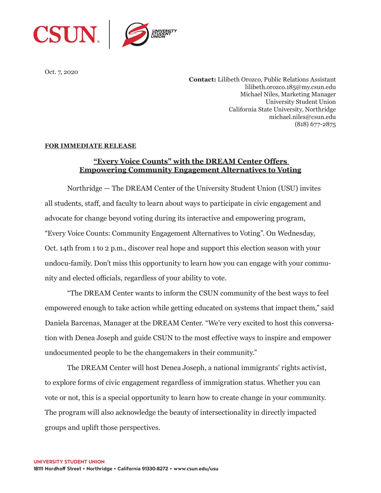

Oct. 7, 2020

**Contact:** Lilibeth Orozco, Public Relations Assistant lilibeth.orozco.185@my.csun.edu Michael Niles, Marketing Manager University Student Union California State University, Northridge michael.niles@csun.edu (818) 677-2875

## **FOR IMMEDIATE RELEASE**

## **"Every Voice Counts" with the DREAM Center Offers Empowering Community Engagement Alternatives to Voting**

Northridge — The DREAM Center of the University Student Union (USU) invites all students, staff, and faculty to learn about ways to participate in civic engagement and advocate for change beyond voting during its interactive and empowering program, "Every Voice Counts: Community Engagement Alternatives to Voting". On Wednesday, Oct. 14th from 1 to 2 p.m., discover real hope and support this election season with your undocu-family. Don't miss this opportunity to learn how you can engage with your community and elected officials, regardless of your ability to vote.

"The DREAM Center wants to inform the CSUN community of the best ways to feel empowered enough to take action while getting educated on systems that impact them," said Daniela Barcenas, Manager at the DREAM Center. "We're very excited to host this conversation with Denea Joseph and guide CSUN to the most effective ways to inspire and empower undocumented people to be the changemakers in their community."

The DREAM Center will host Denea Joseph, a national immigrants' rights activist, to explore forms of civic engagement regardless of immigration status. Whether you can vote or not, this is a special opportunity to learn how to create change in your community. The program will also acknowledge the beauty of intersectionality in directly impacted groups and uplift those perspectives.